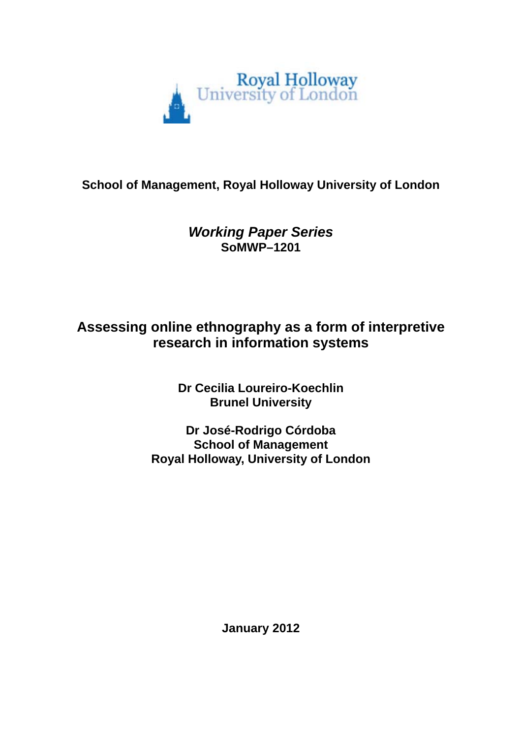

# **School of Management, Royal Holloway University of London**

# *Working Paper Series*  **SoMWP–1201**

# **Assessing online ethnography as a form of interpretive research in information systems**

**Dr Cecilia Loureiro-Koechlin Brunel University** 

**Dr José-Rodrigo Córdoba School of Management Royal Holloway, University of London** 

**January 2012**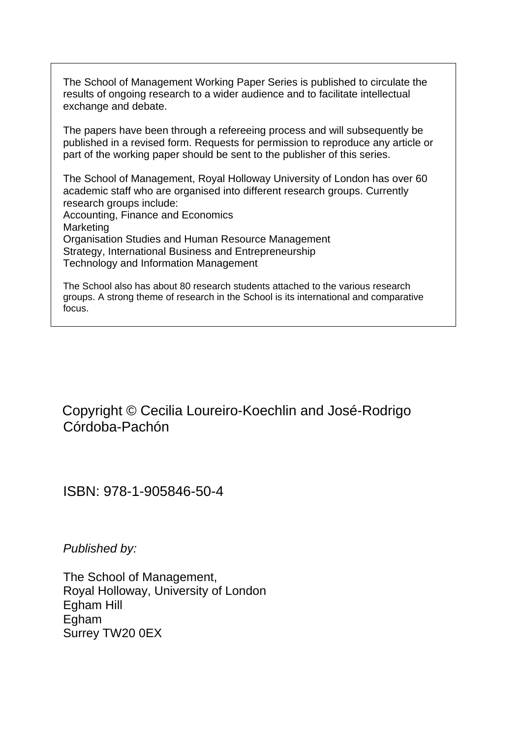The School of Management Working Paper Series is published to circulate the results of ongoing research to a wider audience and to facilitate intellectual exchange and debate.

The papers have been through a refereeing process and will subsequently be published in a revised form. Requests for permission to reproduce any article or part of the working paper should be sent to the publisher of this series.

The School of Management, Royal Holloway University of London has over 60 academic staff who are organised into different research groups. Currently research groups include: Accounting, Finance and Economics

Marketing Organisation Studies and Human Resource Management Strategy, International Business and Entrepreneurship Technology and Information Management

The School also has about 80 research students attached to the various research groups. A strong theme of research in the School is its international and comparative focus.

 Copyright © Cecilia Loureiro-Koechlin and José-Rodrigo Córdoba-Pachón

ISBN: 978-1-905846-50-4

*Published by:* 

The School of Management, Royal Holloway, University of London Egham Hill Egham Surrey TW20 0EX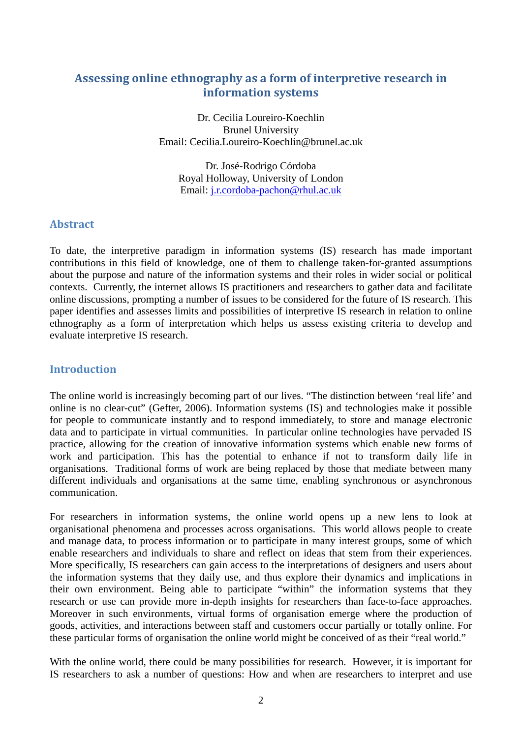## **Assessing online ethnography as a form of interpretive research in information systems**

Dr. Cecilia Loureiro-Koechlin Brunel University Email: Cecilia.Loureiro-Koechlin@brunel.ac.uk

Dr. José-Rodrigo Córdoba Royal Holloway, University of London Email: [j.r.cordoba-pachon@rhul.ac.uk](mailto:j.r.cordoba-pachon@rhul.ac.uk) 

## **Abstract**

To date, the interpretive paradigm in information systems (IS) research has made important contributions in this field of knowledge, one of them to challenge taken-for-granted assumptions about the purpose and nature of the information systems and their roles in wider social or political contexts. Currently, the internet allows IS practitioners and researchers to gather data and facilitate online discussions, prompting a number of issues to be considered for the future of IS research. This paper identifies and assesses limits and possibilities of interpretive IS research in relation to online ethnography as a form of interpretation which helps us assess existing criteria to develop and evaluate interpretive IS research.

## **Introduction**

The online world is increasingly becoming part of our lives. "The distinction between 'real life' and online is no clear-cut" (Gefter, 2006). Information systems (IS) and technologies make it possible for people to communicate instantly and to respond immediately, to store and manage electronic data and to participate in virtual communities. In particular online technologies have pervaded IS practice, allowing for the creation of innovative information systems which enable new forms of work and participation. This has the potential to enhance if not to transform daily life in organisations. Traditional forms of work are being replaced by those that mediate between many different individuals and organisations at the same time, enabling synchronous or asynchronous communication.

For researchers in information systems, the online world opens up a new lens to look at organisational phenomena and processes across organisations. This world allows people to create and manage data, to process information or to participate in many interest groups, some of which enable researchers and individuals to share and reflect on ideas that stem from their experiences. More specifically, IS researchers can gain access to the interpretations of designers and users about the information systems that they daily use, and thus explore their dynamics and implications in their own environment. Being able to participate "within" the information systems that they research or use can provide more in-depth insights for researchers than face-to-face approaches. Moreover in such environments, virtual forms of organisation emerge where the production of goods, activities, and interactions between staff and customers occur partially or totally online. For these particular forms of organisation the online world might be conceived of as their "real world."

With the online world, there could be many possibilities for research. However, it is important for IS researchers to ask a number of questions: How and when are researchers to interpret and use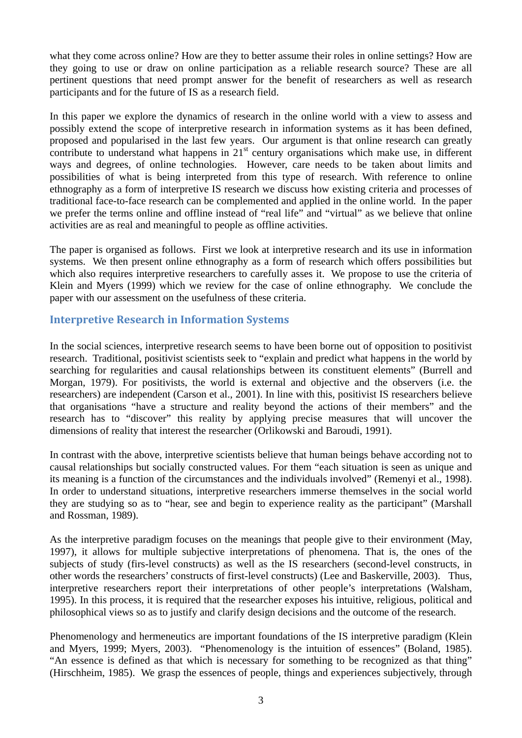what they come across online? How are they to better assume their roles in online settings? How are they going to use or draw on online participation as a reliable research source? These are all pertinent questions that need prompt answer for the benefit of researchers as well as research participants and for the future of IS as a research field.

In this paper we explore the dynamics of research in the online world with a view to assess and possibly extend the scope of interpretive research in information systems as it has been defined, proposed and popularised in the last few years. Our argument is that online research can greatly contribute to understand what happens in  $21<sup>st</sup>$  century organisations which make use, in different ways and degrees, of online technologies. However, care needs to be taken about limits and possibilities of what is being interpreted from this type of research. With reference to online ethnography as a form of interpretive IS research we discuss how existing criteria and processes of traditional face-to-face research can be complemented and applied in the online world. In the paper we prefer the terms online and offline instead of "real life" and "virtual" as we believe that online activities are as real and meaningful to people as offline activities.

The paper is organised as follows. First we look at interpretive research and its use in information systems. We then present online ethnography as a form of research which offers possibilities but which also requires interpretive researchers to carefully asses it. We propose to use the criteria of Klein and Myers (1999) which we review for the case of online ethnography. We conclude the paper with our assessment on the usefulness of these criteria.

## **Interpretive Research in Information Systems**

In the social sciences, interpretive research seems to have been borne out of opposition to positivist research. Traditional, positivist scientists seek to "explain and predict what happens in the world by searching for regularities and causal relationships between its constituent elements" (Burrell and Morgan, 1979). For positivists, the world is external and objective and the observers (i.e. the researchers) are independent (Carson et al., 2001). In line with this, positivist IS researchers believe that organisations "have a structure and reality beyond the actions of their members" and the research has to "discover" this reality by applying precise measures that will uncover the dimensions of reality that interest the researcher (Orlikowski and Baroudi, 1991).

In contrast with the above, interpretive scientists believe that human beings behave according not to causal relationships but socially constructed values. For them "each situation is seen as unique and its meaning is a function of the circumstances and the individuals involved" (Remenyi et al., 1998). In order to understand situations, interpretive researchers immerse themselves in the social world they are studying so as to "hear, see and begin to experience reality as the participant" (Marshall and Rossman, 1989).

As the interpretive paradigm focuses on the meanings that people give to their environment (May, 1997), it allows for multiple subjective interpretations of phenomena. That is, the ones of the subjects of study (firs-level constructs) as well as the IS researchers (second-level constructs, in other words the researchers' constructs of first-level constructs) (Lee and Baskerville, 2003). Thus, interpretive researchers report their interpretations of other people's interpretations (Walsham, 1995). In this process, it is required that the researcher exposes his intuitive, religious, political and philosophical views so as to justify and clarify design decisions and the outcome of the research.

Phenomenology and hermeneutics are important foundations of the IS interpretive paradigm (Klein and Myers, 1999; Myers, 2003). "Phenomenology is the intuition of essences" (Boland, 1985). "An essence is defined as that which is necessary for something to be recognized as that thing" (Hirschheim, 1985). We grasp the essences of people, things and experiences subjectively, through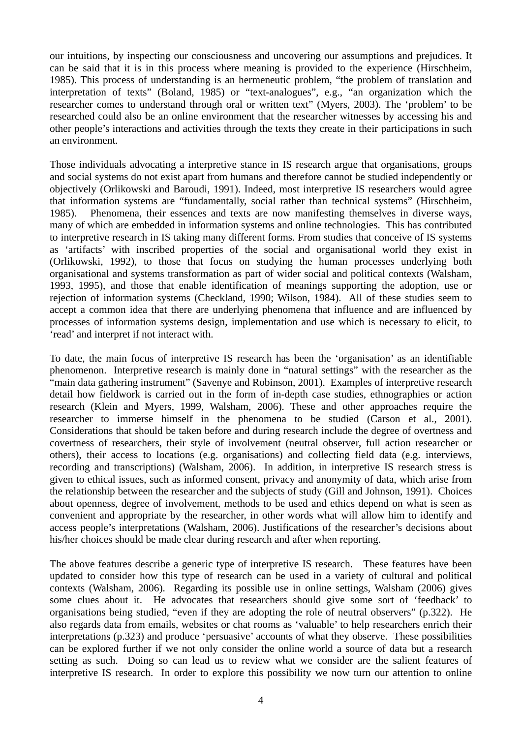our intuitions, by inspecting our consciousness and uncovering our assumptions and prejudices. It can be said that it is in this process where meaning is provided to the experience (Hirschheim, 1985). This process of understanding is an hermeneutic problem, "the problem of translation and interpretation of texts" (Boland, 1985) or "text-analogues", e.g., "an organization which the researcher comes to understand through oral or written text" (Myers, 2003). The 'problem' to be researched could also be an online environment that the researcher witnesses by accessing his and other people's interactions and activities through the texts they create in their participations in such an environment.

Those individuals advocating a interpretive stance in IS research argue that organisations, groups and social systems do not exist apart from humans and therefore cannot be studied independently or objectively (Orlikowski and Baroudi, 1991). Indeed, most interpretive IS researchers would agree that information systems are "fundamentally, social rather than technical systems" (Hirschheim, 1985). Phenomena, their essences and texts are now manifesting themselves in diverse ways, many of which are embedded in information systems and online technologies. This has contributed to interpretive research in IS taking many different forms. From studies that conceive of IS systems as 'artifacts' with inscribed properties of the social and organisational world they exist in (Orlikowski, 1992), to those that focus on studying the human processes underlying both organisational and systems transformation as part of wider social and political contexts (Walsham, 1993, 1995), and those that enable identification of meanings supporting the adoption, use or rejection of information systems (Checkland, 1990; Wilson, 1984). All of these studies seem to accept a common idea that there are underlying phenomena that influence and are influenced by processes of information systems design, implementation and use which is necessary to elicit, to 'read' and interpret if not interact with.

To date, the main focus of interpretive IS research has been the 'organisation' as an identifiable phenomenon. Interpretive research is mainly done in "natural settings" with the researcher as the "main data gathering instrument" (Savenye and Robinson, 2001). Examples of interpretive research detail how fieldwork is carried out in the form of in-depth case studies, ethnographies or action research (Klein and Myers, 1999, Walsham, 2006). These and other approaches require the researcher to immerse himself in the phenomena to be studied (Carson et al., 2001). Considerations that should be taken before and during research include the degree of overtness and covertness of researchers, their style of involvement (neutral observer, full action researcher or others), their access to locations (e.g. organisations) and collecting field data (e.g. interviews, recording and transcriptions) (Walsham, 2006). In addition, in interpretive IS research stress is given to ethical issues, such as informed consent, privacy and anonymity of data, which arise from the relationship between the researcher and the subjects of study (Gill and Johnson, 1991). Choices about openness, degree of involvement, methods to be used and ethics depend on what is seen as convenient and appropriate by the researcher, in other words what will allow him to identify and access people's interpretations (Walsham, 2006). Justifications of the researcher's decisions about his/her choices should be made clear during research and after when reporting.

The above features describe a generic type of interpretive IS research. These features have been updated to consider how this type of research can be used in a variety of cultural and political contexts (Walsham, 2006). Regarding its possible use in online settings, Walsham (2006) gives some clues about it. He advocates that researchers should give some sort of 'feedback' to organisations being studied, "even if they are adopting the role of neutral observers" (p.322). He also regards data from emails, websites or chat rooms as 'valuable' to help researchers enrich their interpretations (p.323) and produce 'persuasive' accounts of what they observe. These possibilities can be explored further if we not only consider the online world a source of data but a research setting as such. Doing so can lead us to review what we consider are the salient features of interpretive IS research. In order to explore this possibility we now turn our attention to online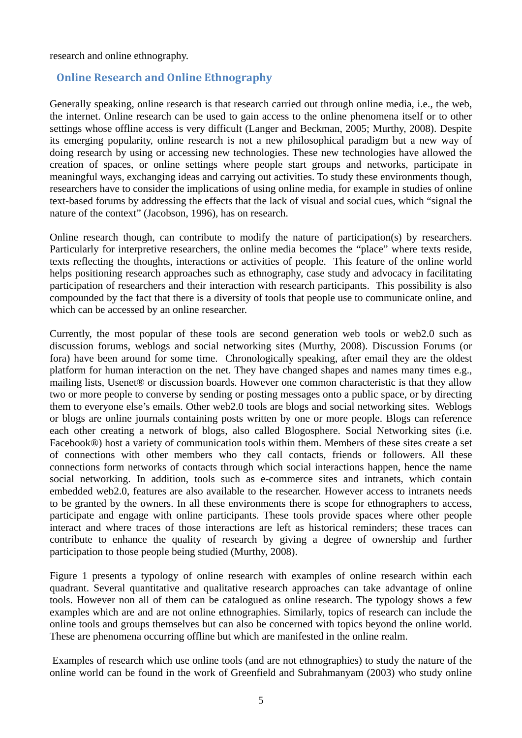research and online ethnography.

## **Online Research and Online Ethnography**

Generally speaking, online research is that research carried out through online media, i.e., the web, the internet. Online research can be used to gain access to the online phenomena itself or to other settings whose offline access is very difficult (Langer and Beckman, 2005; Murthy, 2008). Despite its emerging popularity, online research is not a new philosophical paradigm but a new way of doing research by using or accessing new technologies. These new technologies have allowed the creation of spaces, or online settings where people start groups and networks, participate in meaningful ways, exchanging ideas and carrying out activities. To study these environments though, researchers have to consider the implications of using online media, for example in studies of online text-based forums by addressing the effects that the lack of visual and social cues, which "signal the nature of the context" (Jacobson, 1996), has on research.

Online research though, can contribute to modify the nature of participation(s) by researchers. Particularly for interpretive researchers, the online media becomes the "place" where texts reside, texts reflecting the thoughts, interactions or activities of people. This feature of the online world helps positioning research approaches such as ethnography, case study and advocacy in facilitating participation of researchers and their interaction with research participants. This possibility is also compounded by the fact that there is a diversity of tools that people use to communicate online, and which can be accessed by an online researcher.

Currently, the most popular of these tools are second generation web tools or web2.0 such as discussion forums, weblogs and social networking sites (Murthy, 2008). Discussion Forums (or fora) have been around for some time. Chronologically speaking, after email they are the oldest platform for human interaction on the net. They have changed shapes and names many times e.g., mailing lists, Usenet® or discussion boards. However one common characteristic is that they allow two or more people to converse by sending or posting messages onto a public space, or by directing them to everyone else's emails. Other web2.0 tools are blogs and social networking sites. Weblogs or blogs are online journals containing posts written by one or more people. Blogs can reference each other creating a network of blogs, also called Blogosphere. Social Networking sites (i.e. Facebook®) host a variety of communication tools within them. Members of these sites create a set of connections with other members who they call contacts, friends or followers. All these connections form networks of contacts through which social interactions happen, hence the name social networking. In addition, tools such as e-commerce sites and intranets, which contain embedded web2.0, features are also available to the researcher. However access to intranets needs to be granted by the owners. In all these environments there is scope for ethnographers to access, participate and engage with online participants. These tools provide spaces where other people interact and where traces of those interactions are left as historical reminders; these traces can contribute to enhance the quality of research by giving a degree of ownership and further participation to those people being studied (Murthy, 2008).

Figure 1 presents a typology of online research with examples of online research within each quadrant. Several quantitative and qualitative research approaches can take advantage of online tools. However non all of them can be catalogued as online research. The typology shows a few examples which are and are not online ethnographies. Similarly, topics of research can include the online tools and groups themselves but can also be concerned with topics beyond the online world. These are phenomena occurring offline but which are manifested in the online realm.

 Examples of research which use online tools (and are not ethnographies) to study the nature of the online world can be found in the work of Greenfield and Subrahmanyam (2003) who study online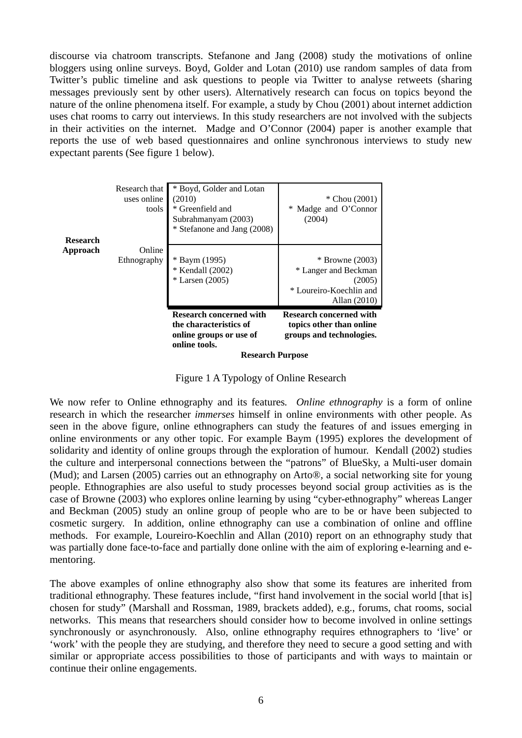discourse via chatroom transcripts. Stefanone and Jang (2008) study the motivations of online bloggers using online surveys. Boyd, Golder and Lotan (2010) use random samples of data from Twitter's public timeline and ask questions to people via Twitter to analyse retweets (sharing messages previously sent by other users). Alternatively research can focus on topics beyond the nature of the online phenomena itself. For example, a study by Chou (2001) about internet addiction uses chat rooms to carry out interviews. In this study researchers are not involved with the subjects in their activities on the internet. Madge and O'Connor (2004) paper is another example that reports the use of web based questionnaires and online synchronous interviews to study new expectant parents (See figure 1 below).

|                 |                                       | online groups or use of<br>online tools.<br><b>Research Purpose</b>                                          | groups and technologies.                                                                       |
|-----------------|---------------------------------------|--------------------------------------------------------------------------------------------------------------|------------------------------------------------------------------------------------------------|
|                 |                                       | <b>Research concerned with</b><br>the characteristics of                                                     | <b>Research concerned with</b><br>topics other than online                                     |
| Approach        | Online<br>Ethnography                 | * Baym (1995)<br>* Kendall (2002)<br>$*$ Larsen (2005)                                                       | $*$ Browne (2003)<br>* Langer and Beckman<br>(2005)<br>* Loureiro-Koechlin and<br>Allan (2010) |
| <b>Research</b> | Research that<br>uses online<br>tools | * Boyd, Golder and Lotan<br>(2010)<br>* Greenfield and<br>Subrahmanyam (2003)<br>* Stefanone and Jang (2008) | * Chou $(2001)$<br>Madge and O'Connor<br>*<br>(2004)                                           |

Figure 1 A Typology of Online Research

We now refer to Online ethnography and its features*. Online ethnography* is a form of online research in which the researcher *immerses* himself in online environments with other people. As seen in the above figure, online ethnographers can study the features of and issues emerging in online environments or any other topic. For example Baym (1995) explores the development of solidarity and identity of online groups through the exploration of humour. Kendall (2002) studies the culture and interpersonal connections between the "patrons" of BlueSky, a Multi-user domain (Mud); and Larsen (2005) carries out an ethnography on Arto®, a social networking site for young people. Ethnographies are also useful to study processes beyond social group activities as is the case of Browne (2003) who explores online learning by using "cyber-ethnography" whereas Langer and Beckman (2005) study an online group of people who are to be or have been subjected to cosmetic surgery. In addition, online ethnography can use a combination of online and offline methods. For example, Loureiro-Koechlin and Allan (2010) report on an ethnography study that was partially done face-to-face and partially done online with the aim of exploring e-learning and ementoring.

The above examples of online ethnography also show that some its features are inherited from traditional ethnography. These features include, "first hand involvement in the social world [that is] chosen for study" (Marshall and Rossman, 1989, brackets added), e.g., forums, chat rooms, social networks. This means that researchers should consider how to become involved in online settings synchronously or asynchronously. Also, online ethnography requires ethnographers to 'live' or 'work' with the people they are studying, and therefore they need to secure a good setting and with similar or appropriate access possibilities to those of participants and with ways to maintain or continue their online engagements.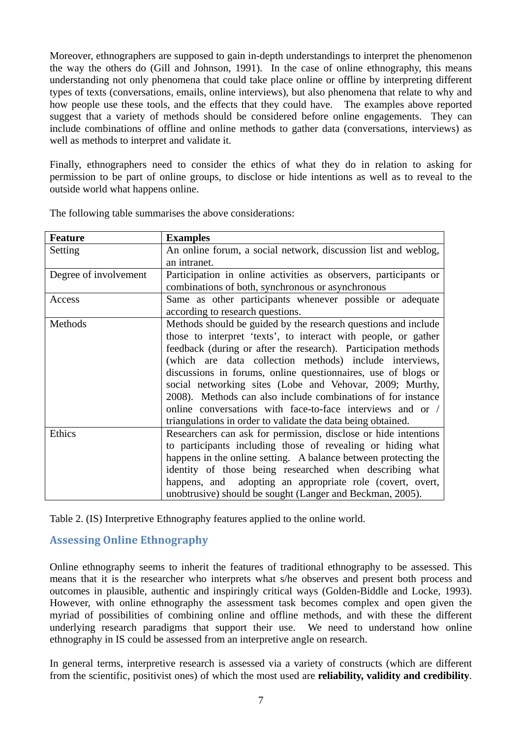Moreover, ethnographers are supposed to gain in-depth understandings to interpret the phenomenon the way the others do (Gill and Johnson, 1991). In the case of online ethnography, this means understanding not only phenomena that could take place online or offline by interpreting different types of texts (conversations, emails, online interviews), but also phenomena that relate to why and how people use these tools, and the effects that they could have. The examples above reported suggest that a variety of methods should be considered before online engagements. They can include combinations of offline and online methods to gather data (conversations, interviews) as well as methods to interpret and validate it.

Finally, ethnographers need to consider the ethics of what they do in relation to asking for permission to be part of online groups, to disclose or hide intentions as well as to reveal to the outside world what happens online.

| <b>Feature</b>        | <b>Examples</b>                                                  |
|-----------------------|------------------------------------------------------------------|
| Setting               | An online forum, a social network, discussion list and weblog,   |
|                       | an intranet.                                                     |
| Degree of involvement | Participation in online activities as observers, participants or |
|                       | combinations of both, synchronous or asynchronous                |
| Access                | Same as other participants whenever possible or adequate         |
|                       | according to research questions.                                 |
| Methods               | Methods should be guided by the research questions and include   |
|                       | those to interpret 'texts', to interact with people, or gather   |
|                       | feedback (during or after the research). Participation methods   |
|                       | (which are data collection methods) include interviews,          |
|                       | discussions in forums, online questionnaires, use of blogs or    |
|                       | social networking sites (Lobe and Vehovar, 2009; Murthy,         |
|                       | 2008). Methods can also include combinations of for instance     |
|                       | online conversations with face-to-face interviews and or /       |
|                       | triangulations in order to validate the data being obtained.     |
| Ethics                | Researchers can ask for permission, disclose or hide intentions  |
|                       | to participants including those of revealing or hiding what      |
|                       | happens in the online setting. A balance between protecting the  |
|                       | identity of those being researched when describing what          |
|                       | happens, and adopting an appropriate role (covert, overt,        |
|                       | unobtrusive) should be sought (Langer and Beckman, 2005).        |

The following table summarises the above considerations:

Table 2. (IS) Interpretive Ethnography features applied to the online world.

## **Assessing Online Ethnography**

Online ethnography seems to inherit the features of traditional ethnography to be assessed. This means that it is the researcher who interprets what s/he observes and present both process and outcomes in plausible, authentic and inspiringly critical ways (Golden-Biddle and Locke, 1993). However, with online ethnography the assessment task becomes complex and open given the myriad of possibilities of combining online and offline methods, and with these the different underlying research paradigms that support their use. We need to understand how online ethnography in IS could be assessed from an interpretive angle on research.

In general terms, interpretive research is assessed via a variety of constructs (which are different from the scientific, positivist ones) of which the most used are **reliability, validity and credibility**.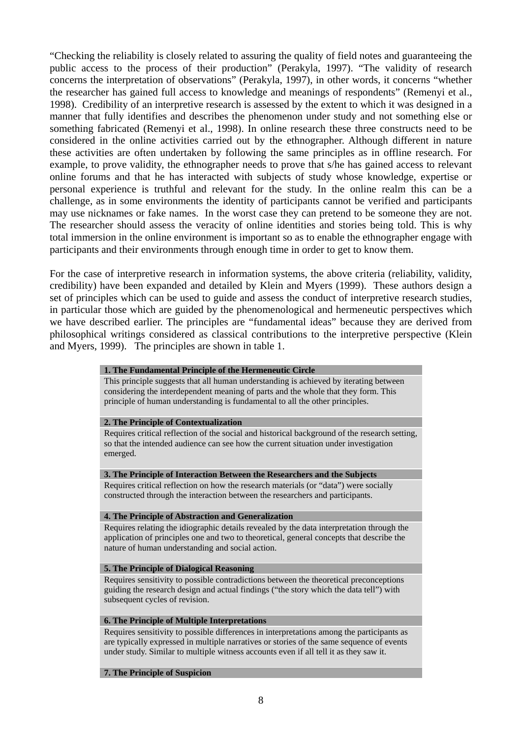"Checking the reliability is closely related to assuring the quality of field notes and guaranteeing the public access to the process of their production" (Perakyla, 1997). "The validity of research concerns the interpretation of observations" (Perakyla, 1997), in other words, it concerns "whether the researcher has gained full access to knowledge and meanings of respondents" (Remenyi et al., 1998). Credibility of an interpretive research is assessed by the extent to which it was designed in a manner that fully identifies and describes the phenomenon under study and not something else or something fabricated (Remenyi et al., 1998). In online research these three constructs need to be considered in the online activities carried out by the ethnographer. Although different in nature these activities are often undertaken by following the same principles as in offline research. For example, to prove validity, the ethnographer needs to prove that s/he has gained access to relevant online forums and that he has interacted with subjects of study whose knowledge, expertise or personal experience is truthful and relevant for the study. In the online realm this can be a challenge, as in some environments the identity of participants cannot be verified and participants may use nicknames or fake names. In the worst case they can pretend to be someone they are not. The researcher should assess the veracity of online identities and stories being told. This is why total immersion in the online environment is important so as to enable the ethnographer engage with participants and their environments through enough time in order to get to know them.

For the case of interpretive research in information systems, the above criteria (reliability, validity, credibility) have been expanded and detailed by Klein and Myers (1999). These authors design a set of principles which can be used to guide and assess the conduct of interpretive research studies, in particular those which are guided by the phenomenological and hermeneutic perspectives which we have described earlier. The principles are "fundamental ideas" because they are derived from philosophical writings considered as classical contributions to the interpretive perspective (Klein and Myers, 1999). The principles are shown in table 1.

#### **1. The Fundamental Principle of the Hermeneutic Circle**

This principle suggests that all human understanding is achieved by iterating between considering the interdependent meaning of parts and the whole that they form. This principle of human understanding is fundamental to all the other principles.

#### **2. The Principle of Contextualization**

Requires critical reflection of the social and historical background of the research setting, so that the intended audience can see how the current situation under investigation emerged.

#### **3. The Principle of Interaction Between the Researchers and the Subjects**

Requires critical reflection on how the research materials (or "data") were socially constructed through the interaction between the researchers and participants.

#### **4. The Principle of Abstraction and Generalization**

Requires relating the idiographic details revealed by the data interpretation through the application of principles one and two to theoretical, general concepts that describe the nature of human understanding and social action.

#### **5. The Principle of Dialogical Reasoning**

Requires sensitivity to possible contradictions between the theoretical preconceptions guiding the research design and actual findings ("the story which the data tell") with subsequent cycles of revision.

#### **6. The Principle of Multiple Interpretations**

Requires sensitivity to possible differences in interpretations among the participants as are typically expressed in multiple narratives or stories of the same sequence of events under study. Similar to multiple witness accounts even if all tell it as they saw it.

#### **7. The Principle of Suspicion**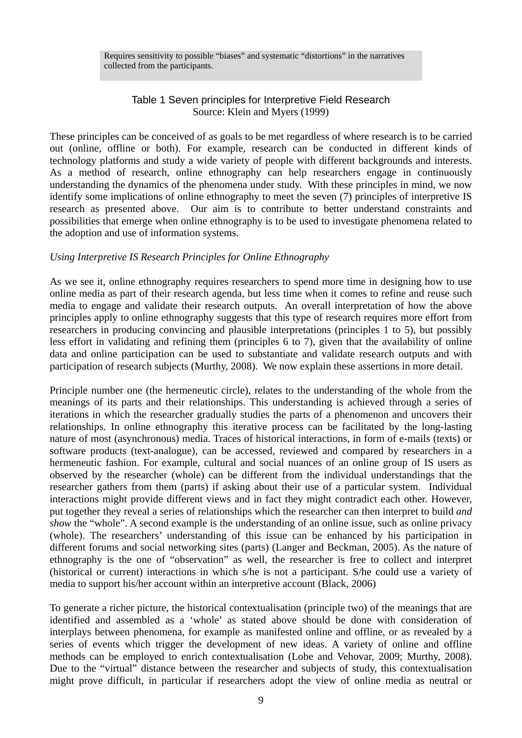## Table 1 Seven principles for Interpretive Field Research Source: Klein and Myers (1999)

These principles can be conceived of as goals to be met regardless of where research is to be carried out (online, offline or both). For example, research can be conducted in different kinds of technology platforms and study a wide variety of people with different backgrounds and interests. As a method of research, online ethnography can help researchers engage in continuously understanding the dynamics of the phenomena under study. With these principles in mind, we now identify some implications of online ethnography to meet the seven (7) principles of interpretive IS research as presented above. Our aim is to contribute to better understand constraints and possibilities that emerge when online ethnography is to be used to investigate phenomena related to the adoption and use of information systems.

## *Using Interpretive IS Research Principles for Online Ethnography*

As we see it, online ethnography requires researchers to spend more time in designing how to use online media as part of their research agenda, but less time when it comes to refine and reuse such media to engage and validate their research outputs. An overall interpretation of how the above principles apply to online ethnography suggests that this type of research requires more effort from researchers in producing convincing and plausible interpretations (principles 1 to 5), but possibly less effort in validating and refining them (principles 6 to 7), given that the availability of online data and online participation can be used to substantiate and validate research outputs and with participation of research subjects (Murthy, 2008). We now explain these assertions in more detail.

Principle number one (the hermeneutic circle), relates to the understanding of the whole from the meanings of its parts and their relationships. This understanding is achieved through a series of iterations in which the researcher gradually studies the parts of a phenomenon and uncovers their relationships. In online ethnography this iterative process can be facilitated by the long-lasting nature of most (asynchronous) media. Traces of historical interactions, in form of e-mails (texts) or software products (text-analogue), can be accessed, reviewed and compared by researchers in a hermeneutic fashion. For example, cultural and social nuances of an online group of IS users as observed by the researcher (whole) can be different from the individual understandings that the researcher gathers from them (parts) if asking about their use of a particular system. Individual interactions might provide different views and in fact they might contradict each other. However, put together they reveal a series of relationships which the researcher can then interpret to build *and show* the "whole". A second example is the understanding of an online issue, such as online privacy (whole). The researchers' understanding of this issue can be enhanced by his participation in different forums and social networking sites (parts) (Langer and Beckman, 2005). As the nature of ethnography is the one of "observation" as well, the researcher is free to collect and interpret (historical or current) interactions in which s/he is not a participant. S/he could use a variety of media to support his/her account within an interpretive account (Black, 2006)

To generate a richer picture, the historical contextualisation (principle two) of the meanings that are identified and assembled as a 'whole' as stated above should be done with consideration of interplays between phenomena, for example as manifested online and offline, or as revealed by a series of events which trigger the development of new ideas. A variety of online and offline methods can be employed to enrich contextualisation (Lobe and Vehovar, 2009; Murthy, 2008). Due to the "virtual" distance between the researcher and subjects of study, this contextualisation might prove difficult, in particular if researchers adopt the view of online media as neutral or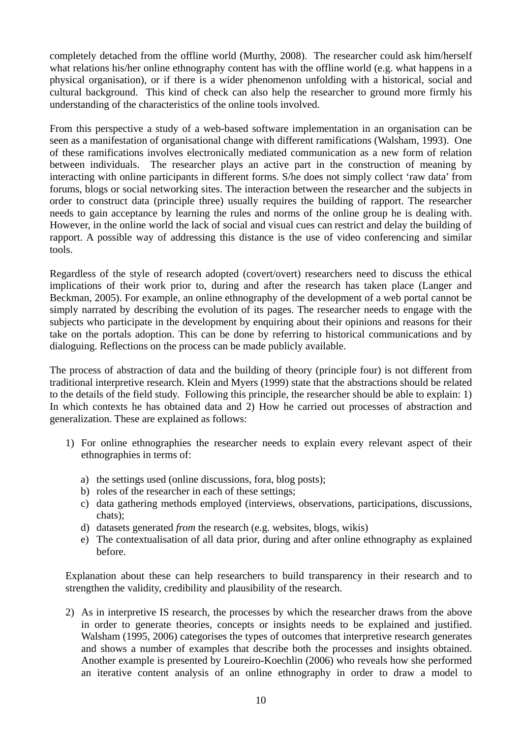completely detached from the offline world (Murthy, 2008). The researcher could ask him/herself what relations his/her online ethnography content has with the offline world (e.g. what happens in a physical organisation), or if there is a wider phenomenon unfolding with a historical, social and cultural background. This kind of check can also help the researcher to ground more firmly his understanding of the characteristics of the online tools involved.

From this perspective a study of a web-based software implementation in an organisation can be seen as a manifestation of organisational change with different ramifications (Walsham, 1993). One of these ramifications involves electronically mediated communication as a new form of relation between individuals. The researcher plays an active part in the construction of meaning by interacting with online participants in different forms. S/he does not simply collect 'raw data' from forums, blogs or social networking sites. The interaction between the researcher and the subjects in order to construct data (principle three) usually requires the building of rapport. The researcher needs to gain acceptance by learning the rules and norms of the online group he is dealing with. However, in the online world the lack of social and visual cues can restrict and delay the building of rapport. A possible way of addressing this distance is the use of video conferencing and similar tools.

Regardless of the style of research adopted (covert/overt) researchers need to discuss the ethical implications of their work prior to, during and after the research has taken place (Langer and Beckman, 2005). For example, an online ethnography of the development of a web portal cannot be simply narrated by describing the evolution of its pages. The researcher needs to engage with the subjects who participate in the development by enquiring about their opinions and reasons for their take on the portals adoption. This can be done by referring to historical communications and by dialoguing. Reflections on the process can be made publicly available.

The process of abstraction of data and the building of theory (principle four) is not different from traditional interpretive research. Klein and Myers (1999) state that the abstractions should be related to the details of the field study. Following this principle, the researcher should be able to explain: 1) In which contexts he has obtained data and 2) How he carried out processes of abstraction and generalization. These are explained as follows:

- 1) For online ethnographies the researcher needs to explain every relevant aspect of their ethnographies in terms of:
	- a) the settings used (online discussions, fora, blog posts);
	- b) roles of the researcher in each of these settings;
	- c) data gathering methods employed (interviews, observations, participations, discussions, chats);
	- d) datasets generated *from* the research (e.g. websites, blogs, wikis)
	- e) The contextualisation of all data prior, during and after online ethnography as explained before.

Explanation about these can help researchers to build transparency in their research and to strengthen the validity, credibility and plausibility of the research.

2) As in interpretive IS research, the processes by which the researcher draws from the above in order to generate theories, concepts or insights needs to be explained and justified. Walsham (1995, 2006) categorises the types of outcomes that interpretive research generates and shows a number of examples that describe both the processes and insights obtained. Another example is presented by Loureiro-Koechlin (2006) who reveals how she performed an iterative content analysis of an online ethnography in order to draw a model to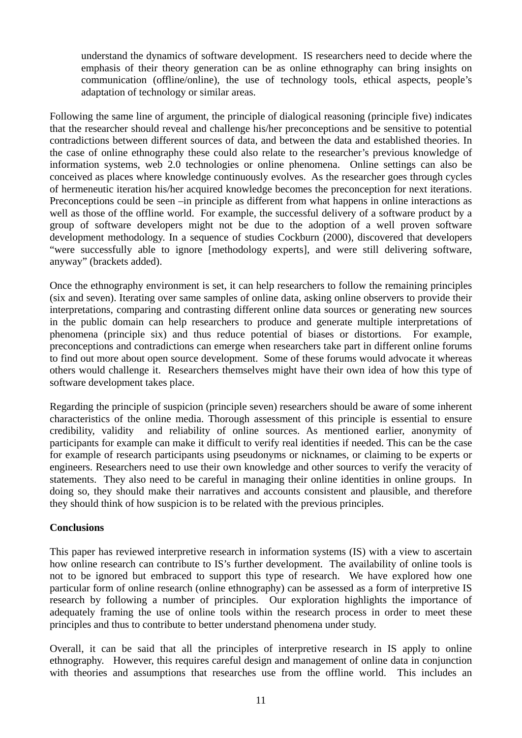understand the dynamics of software development. IS researchers need to decide where the emphasis of their theory generation can be as online ethnography can bring insights on communication (offline/online), the use of technology tools, ethical aspects, people's adaptation of technology or similar areas.

Following the same line of argument, the principle of dialogical reasoning (principle five) indicates that the researcher should reveal and challenge his/her preconceptions and be sensitive to potential contradictions between different sources of data, and between the data and established theories. In the case of online ethnography these could also relate to the researcher's previous knowledge of information systems, web 2.0 technologies or online phenomena. Online settings can also be conceived as places where knowledge continuously evolves. As the researcher goes through cycles of hermeneutic iteration his/her acquired knowledge becomes the preconception for next iterations. Preconceptions could be seen –in principle as different from what happens in online interactions as well as those of the offline world. For example, the successful delivery of a software product by a group of software developers might not be due to the adoption of a well proven software development methodology. In a sequence of studies Cockburn (2000), discovered that developers "were successfully able to ignore [methodology experts], and were still delivering software, anyway" (brackets added).

Once the ethnography environment is set, it can help researchers to follow the remaining principles (six and seven). Iterating over same samples of online data, asking online observers to provide their interpretations, comparing and contrasting different online data sources or generating new sources in the public domain can help researchers to produce and generate multiple interpretations of phenomena (principle six) and thus reduce potential of biases or distortions. For example, preconceptions and contradictions can emerge when researchers take part in different online forums to find out more about open source development. Some of these forums would advocate it whereas others would challenge it. Researchers themselves might have their own idea of how this type of software development takes place.

Regarding the principle of suspicion (principle seven) researchers should be aware of some inherent characteristics of the online media. Thorough assessment of this principle is essential to ensure credibility, validity and reliability of online sources. As mentioned earlier, anonymity of participants for example can make it difficult to verify real identities if needed. This can be the case for example of research participants using pseudonyms or nicknames, or claiming to be experts or engineers. Researchers need to use their own knowledge and other sources to verify the veracity of statements. They also need to be careful in managing their online identities in online groups. In doing so, they should make their narratives and accounts consistent and plausible, and therefore they should think of how suspicion is to be related with the previous principles.

## **Conclusions**

This paper has reviewed interpretive research in information systems (IS) with a view to ascertain how online research can contribute to IS's further development. The availability of online tools is not to be ignored but embraced to support this type of research. We have explored how one particular form of online research (online ethnography) can be assessed as a form of interpretive IS research by following a number of principles. Our exploration highlights the importance of adequately framing the use of online tools within the research process in order to meet these principles and thus to contribute to better understand phenomena under study.

Overall, it can be said that all the principles of interpretive research in IS apply to online ethnography. However, this requires careful design and management of online data in conjunction with theories and assumptions that researches use from the offline world. This includes an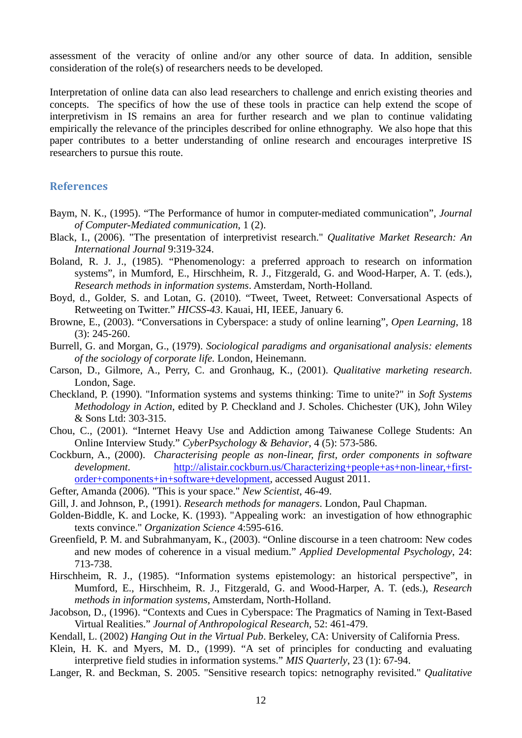assessment of the veracity of online and/or any other source of data. In addition, sensible consideration of the role(s) of researchers needs to be developed.

Interpretation of online data can also lead researchers to challenge and enrich existing theories and concepts. The specifics of how the use of these tools in practice can help extend the scope of interpretivism in IS remains an area for further research and we plan to continue validating empirically the relevance of the principles described for online ethnography. We also hope that this paper contributes to a better understanding of online research and encourages interpretive IS researchers to pursue this route.

### **References**

- Baym, N. K., (1995). "The Performance of humor in computer-mediated communication", *Journal of Computer-Mediated communication*, 1 (2).
- Black, I., (2006). "The presentation of interpretivist research." *Qualitative Market Research: An International Journal* 9:319-324.
- Boland, R. J. J., (1985). "Phenomenology: a preferred approach to research on information systems", in Mumford, E., Hirschheim, R. J., Fitzgerald, G. and Wood-Harper, A. T. (eds.), *Research methods in information systems*. Amsterdam, North-Holland.
- Boyd, d., Golder, S. and Lotan, G. (2010). "Tweet, Tweet, Retweet: Conversational Aspects of Retweeting on Twitter." *HICSS-43*. Kauai, HI, IEEE, January 6.
- Browne, E., (2003). "Conversations in Cyberspace: a study of online learning", *Open Learning*, 18 (3): 245-260.
- Burrell, G. and Morgan, G., (1979). *Sociological paradigms and organisational analysis: elements of the sociology of corporate life.* London, Heinemann.
- Carson, D., Gilmore, A., Perry, C. and Gronhaug, K., (2001). *Qualitative marketing research*. London, Sage.
- Checkland, P. (1990). "Information systems and systems thinking: Time to unite?" in *Soft Systems Methodology in Action*, edited by P. Checkland and J. Scholes. Chichester (UK), John Wiley & Sons Ltd: 303-315.
- Chou, C., (2001). "Internet Heavy Use and Addiction among Taiwanese College Students: An Online Interview Study." *CyberPsychology & Behavior*, 4 (5): 573-586.
- Cockburn, A., (2000). *Characterising people as non-linear, first, order components in software development*. [http://alistair.cockburn.us/Characterizing+people+as+non-linear,+first](http://alistair.cockburn.us/Characterizing+people+as+non-linear,+first-order+components+in+software+development)[order+components+in+software+development](http://alistair.cockburn.us/Characterizing+people+as+non-linear,+first-order+components+in+software+development), accessed August 2011.
- Gefter, Amanda (2006). "This is your space." *New Scientist*, 46-49.
- Gill, J. and Johnson, P., (1991). *Research methods for managers*. London, Paul Chapman.
- Golden-Biddle, K. and Locke, K. (1993). "Appealing work: an investigation of how ethnographic texts convince." *Organization Science* 4:595-616.
- Greenfield, P. M. and Subrahmanyam, K., (2003). "Online discourse in a teen chatroom: New codes and new modes of coherence in a visual medium." *Applied Developmental Psychology*, 24: 713-738.
- Hirschheim, R. J., (1985). "Information systems epistemology: an historical perspective", in Mumford, E., Hirschheim, R. J., Fitzgerald, G. and Wood-Harper, A. T. (eds.), *Research methods in information systems*, Amsterdam, North-Holland.
- Jacobson, D., (1996). "Contexts and Cues in Cyberspace: The Pragmatics of Naming in Text-Based Virtual Realities." *Journal of Anthropological Research*, 52: 461-479.
- Kendall, L. (2002) *Hanging Out in the Virtual Pub*. Berkeley, CA: University of California Press.
- Klein, H. K. and Myers, M. D., (1999). "A set of principles for conducting and evaluating interpretive field studies in information systems." *MIS Quarterly*, 23 (1): 67-94.
- Langer, R. and Beckman, S. 2005. "Sensitive research topics: netnography revisited." *Qualitative*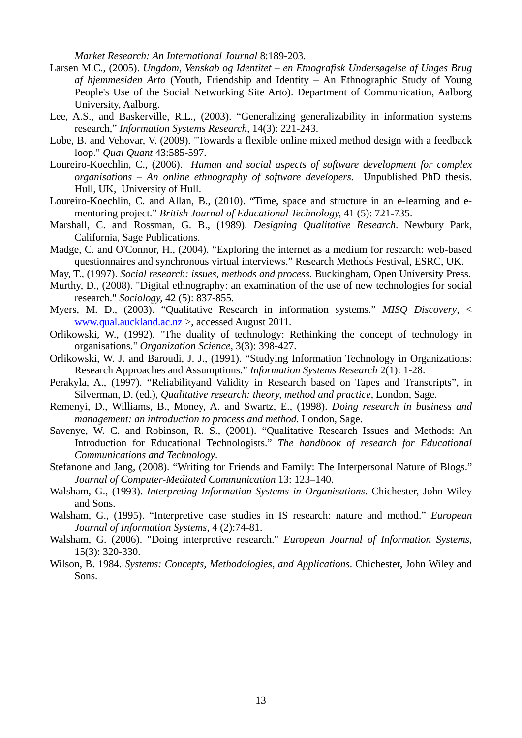*Market Research: An International Journal* 8:189-203.

- Larsen M.C., (2005). *Ungdom, Venskab og Identitet en Etnografisk Undersøgelse af Unges Brug af hjemmesiden Arto* (Youth, Friendship and Identity – An Ethnographic Study of Young People's Use of the Social Networking Site Arto). Department of Communication, Aalborg University, Aalborg.
- Lee, A.S., and Baskerville, R.L., (2003). "Generalizing generalizability in information systems research," *Information Systems Research,* 14(3): 221-243.
- Lobe, B. and Vehovar, V. (2009). "Towards a flexible online mixed method design with a feedback loop." *Qual Quant* 43:585-597.
- Loureiro-Koechlin, C., (2006). *Human and social aspects of software development for complex organisations – An online ethnography of software developers.* Unpublished PhD thesis. Hull, UK, University of Hull.
- Loureiro-Koechlin, C. and Allan, B., (2010). "Time, space and structure in an e-learning and ementoring project." *British Journal of Educational Technology,* 41 (5): 721-735.
- Marshall, C. and Rossman, G. B., (1989). *Designing Qualitative Research*. Newbury Park, California, Sage Publications.
- Madge, C. and O'Connor, H., (2004). "Exploring the internet as a medium for research: web-based questionnaires and synchronous virtual interviews." Research Methods Festival, ESRC, UK.
- May, T., (1997). *Social research: issues, methods and process*. Buckingham, Open University Press.
- Murthy, D., (2008). "Digital ethnography: an examination of the use of new technologies for social research." *Sociology,* 42 (5): 837-855.
- Myers, M. D., (2003). "Qualitative Research in information systems." *MISQ Discovery*, < [www.qual.auckland.ac.nz](http://www.qual.auckland.ac.nz/) >, accessed August 2011.
- Orlikowski, W., (1992). "The duality of technology: Rethinking the concept of technology in organisations." *Organization Science,* 3(3): 398-427.
- Orlikowski, W. J. and Baroudi, J. J., (1991). "Studying Information Technology in Organizations: Research Approaches and Assumptions." *Information Systems Research* 2(1): 1-28.
- Perakyla, A., (1997). "Reliabilityand Validity in Research based on Tapes and Transcripts", in Silverman, D. (ed.), *Qualitative research: theory, method and practice*, London, Sage.
- Remenyi, D., Williams, B., Money, A. and Swartz, E., (1998). *Doing research in business and management: an introduction to process and method*. London, Sage.
- Savenye, W. C. and Robinson, R. S., (2001). "Qualitative Research Issues and Methods: An Introduction for Educational Technologists." *The handbook of research for Educational Communications and Technology*.
- Stefanone and Jang, (2008). "Writing for Friends and Family: The Interpersonal Nature of Blogs." *Journal of Computer-Mediated Communication* 13: 123–140.
- Walsham, G., (1993). *Interpreting Information Systems in Organisations*. Chichester, John Wiley and Sons.
- Walsham, G., (1995). "Interpretive case studies in IS research: nature and method." *European Journal of Information Systems*, 4 (2):74-81.
- Walsham, G. (2006). "Doing interpretive research." *European Journal of Information Systems*, 15(3): 320-330.
- Wilson, B. 1984. *Systems: Concepts, Methodologies, and Applications*. Chichester, John Wiley and Sons.